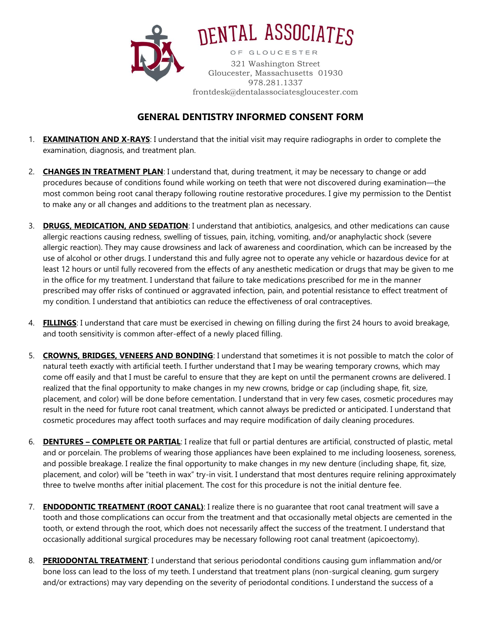

DENTAL ASSOCIATES OF GLOUCESTER 321 Washington Street Gloucester, Massachusetts 01930 978.281.1337 frontdesk@dentalassociatesgloucester.com

## **GENERAL DENTISTRY INFORMED CONSENT FORM**

- 1. **EXAMINATION AND X-RAYS**: I understand that the initial visit may require radiographs in order to complete the examination, diagnosis, and treatment plan.
- 2. **CHANGES IN TREATMENT PLAN**: I understand that, during treatment, it may be necessary to change or add procedures because of conditions found while working on teeth that were not discovered during examination—the most common being root canal therapy following routine restorative procedures. I give my permission to the Dentist to make any or all changes and additions to the treatment plan as necessary.
- 3. **DRUGS, MEDICATION, AND SEDATION**: I understand that antibiotics, analgesics, and other medications can cause allergic reactions causing redness, swelling of tissues, pain, itching, vomiting, and/or anaphylactic shock (severe allergic reaction). They may cause drowsiness and lack of awareness and coordination, which can be increased by the use of alcohol or other drugs. I understand this and fully agree not to operate any vehicle or hazardous device for at least 12 hours or until fully recovered from the effects of any anesthetic medication or drugs that may be given to me in the office for my treatment. I understand that failure to take medications prescribed for me in the manner prescribed may offer risks of continued or aggravated infection, pain, and potential resistance to effect treatment of my condition. I understand that antibiotics can reduce the effectiveness of oral contraceptives.
- 4. **FILLINGS**: I understand that care must be exercised in chewing on filling during the first 24 hours to avoid breakage, and tooth sensitivity is common after-effect of a newly placed filling.
- 5. **CROWNS, BRIDGES, VENEERS AND BONDING**: I understand that sometimes it is not possible to match the color of natural teeth exactly with artificial teeth. I further understand that I may be wearing temporary crowns, which may come off easily and that I must be careful to ensure that they are kept on until the permanent crowns are delivered. I realized that the final opportunity to make changes in my new crowns, bridge or cap (including shape, fit, size, placement, and color) will be done before cementation. I understand that in very few cases, cosmetic procedures may result in the need for future root canal treatment, which cannot always be predicted or anticipated. I understand that cosmetic procedures may affect tooth surfaces and may require modification of daily cleaning procedures.
- 6. **DENTURES – COMPLETE OR PARTIAL**: I realize that full or partial dentures are artificial, constructed of plastic, metal and or porcelain. The problems of wearing those appliances have been explained to me including looseness, soreness, and possible breakage. I realize the final opportunity to make changes in my new denture (including shape, fit, size, placement, and color) will be "teeth in wax" try-in visit. I understand that most dentures require relining approximately three to twelve months after initial placement. The cost for this procedure is not the initial denture fee.
- 7. **ENDODONTIC TREATMENT (ROOT CANAL)**: I realize there is no guarantee that root canal treatment will save a tooth and those complications can occur from the treatment and that occasionally metal objects are cemented in the tooth, or extend through the root, which does not necessarily affect the success of the treatment. I understand that occasionally additional surgical procedures may be necessary following root canal treatment (apicoectomy).
- 8. **PERIODONTAL TREATMENT**: I understand that serious periodontal conditions causing gum inflammation and/or bone loss can lead to the loss of my teeth. I understand that treatment plans (non-surgical cleaning, gum surgery and/or extractions) may vary depending on the severity of periodontal conditions. I understand the success of a